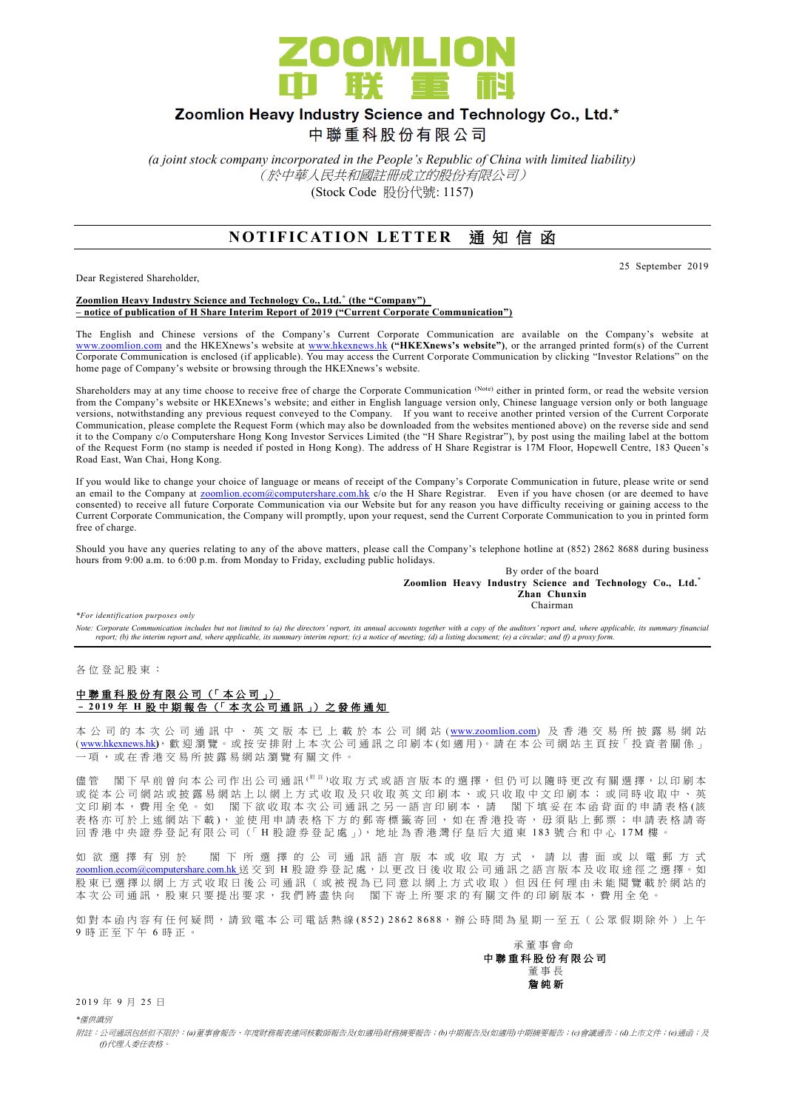

## Zoomlion Heavy Industry Science and Technology Co., Ltd.\*

中聯重科股份有限公司

*(a joint stock company incorporated in the People's Republic of China with limited liability)* (於中華人民共和國註冊成立的股份有限公司) (Stock Code 股份代號: 1157)

### **NOTIFICATION LETTER 通知信函**

Dear Registered Shareholder,

25 September 2019

**Zoomlion Heavy Industry Science and Technology Co., Ltd. \* (the "Company") – notice of publication of H Share Interim Report of 2019 ("Current Corporate Communication")**

The English and Chinese versions of the Company's Current Corporate Communication are available on the Company's website at [www.zoomlion.com](http://www.zoomlion.com/) and the HKEXnews's website at [www.hkexnews.hk](http://www.hkexnews.hk/) **("HKEXnews's website")**, or the arranged printed form(s) of the Current Corporate Communication is enclosed (if applicable). You may access the Current Corporate Communication by clicking "Investor Relations" on the home page of Company's website or browsing through the HKEXnews's website.

Shareholders may at any time choose to receive free of charge the Corporate Communication (Note) either in printed form, or read the website version from the Company's website or HKEXnews's website; and either in English language version only, Chinese language version only or both language versions, notwithstanding any previous request conveyed to the Company. If you want to receive another printed version of the Current Corporate Communication, please complete the Request Form (which may also be downloaded from the websites mentioned above) on the reverse side and send it to the Company c/o Computershare Hong Kong Investor Services Limited (the "H Share Registrar"), by post using the mailing label at the bottom of the Request Form (no stamp is needed if posted in Hong Kong). The address of H Share Registrar is 17M Floor, Hopewell Centre, 183 Queen's Road East, Wan Chai, Hong Kong.

If you would like to change your choice of language or means of receipt of the Company's Corporate Communication in future, please write or send an email to the Company at **zoomlion.ecom@computershare.com.hk** c/o the H Share Registrar. Even if you have chosen (or are deemed to have consented) to receive all future Corporate Communication via our Website but for any reason you have difficulty receiving or gaining access to the Current Corporate Communication, the Company will promptly, upon your request, send the Current Corporate Communication to you in printed form free of charge.

Should you have any queries relating to any of the above matters, please call the Company's telephone hotline at (852) 2862 8688 during business hours from 9:00 a.m. to 6:00 p.m. from Monday to Friday, excluding public holidays.

> By order of the board **Zoomlion Heavy Industry Science and Technology Co., Ltd.\* Zhan Chunxin** Chairman

*\*For identification purposes only* 

Note: Corporate Communication includes but not limited to (a) the directors' report, its annual accounts together with a copy of the auditors' report and, where applicable, its summary financial<br>report; (b) the interim rep

各 位 登 記 股 東 :

#### 中聯重科股份有限公司 (「本公司」) – **2 0 1 9** 年 **H** 股中期報告 (「 本 次 公司通訊 」) 之 發 佈 通 知

本 公 司 的 本 次 公 司 通 訊 中 、 英 文 版 本 已 上 載 於 本 公 司 網 站 ([www.zoomlion.com](http://www.zoomlion.com/)) 及 香 港 交 易 所 披 露 易 網 站 ( [www.hkexnews.hk](http://www.hkexnews.hk/)**)**, 歡 迎 瀏 覽 。或 按 安 排 附 上 本 次 公 司 通 訊 之印刷本 (如適用 )。 請 在 本 公 司 網 站 主 頁 按「 投 資 者 關 係 」 一項, 或 在 香 港 交 易 所 披 露 易 網 站 瀏 覽 有 關 文 件 。

儘管 閣下早前曾向本公司作出公司通訊<sup>( 附註)</sup>收取方式或語言版本的選擇,但仍可以隨時更改有關選擇,以印刷本 或 從 本 公 司 網 站 或 披 露 易 網 站 上 以 網 上 方 式 收 取 及 只 收 取 英 文 印 刷 本 、 或 只 收 取 中 文 印 刷 本 ; 或 同 時 收 取 中 、 英 文印刷本,費用全免。如 閣下欲收取本次公司通訊之另一語言印刷本,請 閣下填妥在本函背面的申請表格(該 表格亦可於上述網站下載), 並使用申請表格下方的郵寄標籤寄回, 如在香港投寄, 毋須貼上郵票; 申請表格請寄 回 香 港 中 央 證 券 登 記 有 限 公 司 (「 H 股 證 券 登 記 處 」), 地 址 為 香 港 灣 仔 皇 后 大 道 東 183 號合和中心 17M 樓 。

如 欲 選 擇 有 別 於 閣 下 所 選 擇 的 公 司 通 訊 語 言 版 本 或 收 取 方 式 , 請 以 書 面 或 以 電 郵 方 式 [zoomlion.ecom@computershare.com.hk](mailto:zoomlion.ecom@computershare.com.hk) 送 交 到 H 股 證 券 登 記 處, 以 更 改 日 後 收 取 公 司 通 訊 之 語 言 版 本 及 收 取 途 徑 之 選 擇 。 如 股 東 已 選 擇 以 網 上 方 式 收 取 日 後 公 司 通 訊 ( 或 被 視 為 已 同 意 以 網 上 方 式 收 取 ) 但 因 任 何 理 由 未 能 閲 覽 載 於 網 站 的 本 次 公 司 通 訊 , 股 東 只 要 提 出 要 求 , 我 們 將 盡 快 向 <br>閣 下 寄 上 所 要 求 的 有 關 文 件 的 印 刷 版 本 , 費 用 全 免

如對本函內容有任何疑問,請致電本公司電話熱線(852) 2862 8688,辦公時間為星期一至五 (公眾假期除外)上午 9 時正至下午 6 時 正 。



2019年9月25日

*\**僅供識別

附註:公司通訊包括但不限於:*(a)*董事會報告、年度財務報表連同核數師報告及*(*如適用*)*財務摘要報告;*(b)*中期報告及*(*如適用*)*中期摘要報告;*(c)*會議通告;*(d)*上市文件;*(e)*通函;及 *(f)*代理人委任表格。